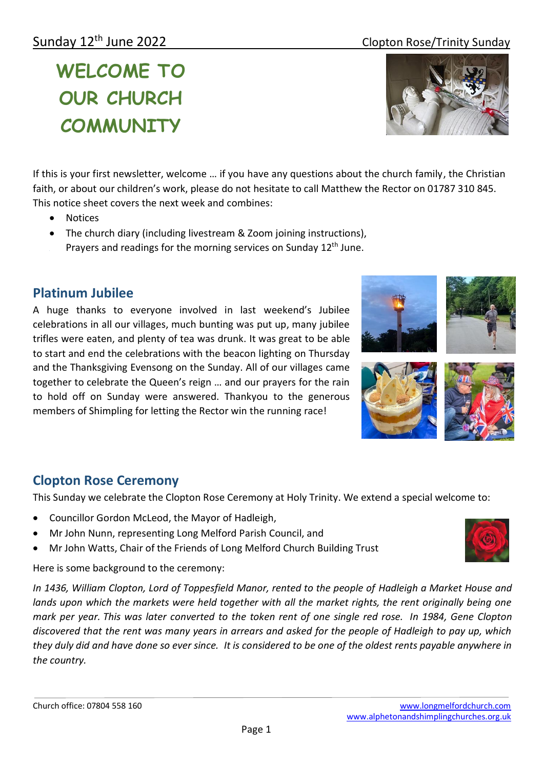# Sunday 12<sup>th</sup> June 2022 **Clopton Rose/Trinity Sunday**

**WELCOME TO OUR CHURCH COMMUNITY**

If this is your first newsletter, welcome … if you have any questions about the church family, the Christian faith, or about our children's work, please do not hesitate to call Matthew the Rector on 01787 310 845. This notice sheet covers the next week and combines:

- Notices
- The church diary (including livestream & Zoom joining instructions), Prayers and readings for the morning services on Sunday 12<sup>th</sup> June.

## **Platinum Jubilee**

A huge thanks to everyone involved in last weekend's Jubilee celebrations in all our villages, much bunting was put up, many jubilee trifles were eaten, and plenty of tea was drunk. It was great to be able to start and end the celebrations with the beacon lighting on Thursday and the Thanksgiving Evensong on the Sunday. All of our villages came together to celebrate the Queen's reign … and our prayers for the rain to hold off on Sunday were answered. Thankyou to the generous members of Shimpling for letting the Rector win the running race!

## **Clopton Rose Ceremony**

This Sunday we celebrate the Clopton Rose Ceremony at Holy Trinity. We extend a special welcome to:

- Councillor Gordon McLeod, the Mayor of Hadleigh,
- Mr John Nunn, representing Long Melford Parish Council, and
- Mr John Watts, Chair of the Friends of Long Melford Church Building Trust

Here is some background to the ceremony:

*In 1436, William Clopton, Lord of Toppesfield Manor, rented to the people of Hadleigh a Market House and lands upon which the markets were held together with all the market rights, the rent originally being one mark per year. This was later converted to the token rent of one single red rose. In 1984, Gene Clopton discovered that the rent was many years in arrears and asked for the people of Hadleigh to pay up, which they duly did and have done so ever since. It is considered to be one of the oldest rents payable anywhere in the country.*









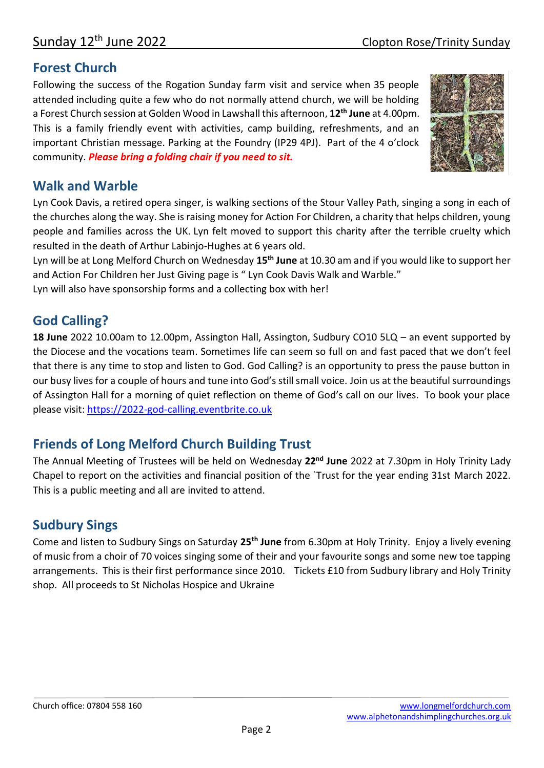## **Forest Church**

Following the success of the Rogation Sunday farm visit and service when 35 people attended including quite a few who do not normally attend church, we will be holding a Forest Church session at Golden Wood in Lawshall this afternoon, **12th June** at 4.00pm. This is a family friendly event with activities, camp building, refreshments, and an important Christian message. Parking at the Foundry (IP29 4PJ). Part of the 4 o'clock community. *Please bring a folding chair if you need to sit.*



# **Walk and Warble**

Lyn Cook Davis, a retired opera singer, is walking sections of the Stour Valley Path, singing a song in each of the churches along the way. She is raising money for Action For Children, a charity that helps children, young people and families across the UK. Lyn felt moved to support this charity after the terrible cruelty which resulted in the death of Arthur Labinjo-Hughes at 6 years old.

Lyn will be at Long Melford Church on Wednesday **15th June** at 10.30 am and if you would like to support her and Action For Children her Just Giving page is " Lyn Cook Davis Walk and Warble."

Lyn will also have sponsorship forms and a collecting box with her!

# **God Calling?**

**18 June** 2022 10.00am to 12.00pm, Assington Hall, Assington, Sudbury CO10 5LQ – an event supported by the Diocese and the vocations team. Sometimes life can seem so full on and fast paced that we don't feel that there is any time to stop and listen to God. God Calling? is an opportunity to press the pause button in our busy lives for a couple of hours and tune into God's still small voice. Join us at the beautiful surroundings of Assington Hall for a morning of quiet reflection on theme of God's call on our lives. To book your place please visit: [https://2022-god-calling.eventbrite.co.uk](https://2022-god-calling.eventbrite.co.uk/)

# **Friends of Long Melford Church Building Trust**

The Annual Meeting of Trustees will be held on Wednesday **22nd June** 2022 at 7.30pm in Holy Trinity Lady Chapel to report on the activities and financial position of the `Trust for the year ending 31st March 2022. This is a public meeting and all are invited to attend.

# **Sudbury Sings**

Come and listen to Sudbury Sings on Saturday **25th June** from 6.30pm at Holy Trinity. Enjoy a lively evening of music from a choir of 70 voices singing some of their and your favourite songs and some new toe tapping arrangements. This is their first performance since 2010. Tickets £10 from Sudbury library and Holy Trinity shop. All proceeds to St Nicholas Hospice and Ukraine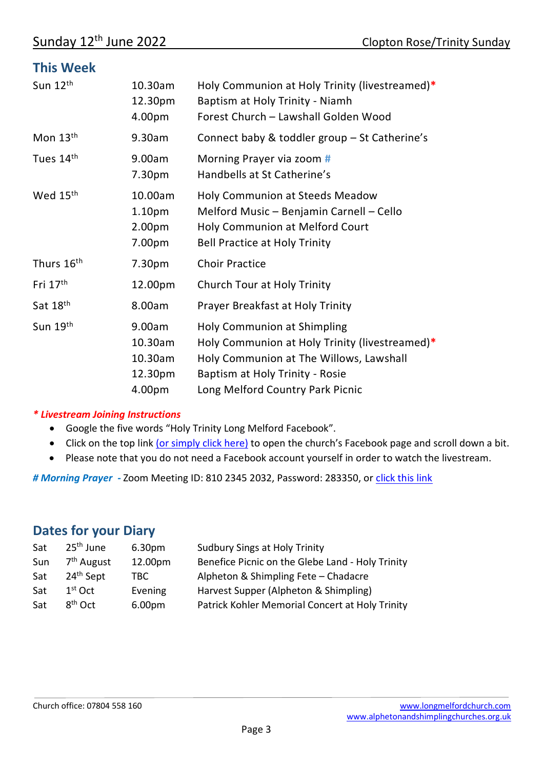### **This Week**

| Sun 12th               | 10.30am<br>12.30pm<br>4.00pm                                  | Holy Communion at Holy Trinity (livestreamed)*<br>Baptism at Holy Trinity - Niamh<br>Forest Church - Lawshall Golden Wood                                                                              |
|------------------------|---------------------------------------------------------------|--------------------------------------------------------------------------------------------------------------------------------------------------------------------------------------------------------|
| Mon 13th               | 9.30am                                                        | Connect baby & toddler group - St Catherine's                                                                                                                                                          |
| Tues 14th              | 9.00am<br>7.30pm                                              | Morning Prayer via zoom #<br>Handbells at St Catherine's                                                                                                                                               |
| Wed 15th               | 10.00am<br>1.10 <sub>pm</sub><br>2.00 <sub>pm</sub><br>7.00pm | <b>Holy Communion at Steeds Meadow</b><br>Melford Music - Benjamin Carnell - Cello<br><b>Holy Communion at Melford Court</b><br><b>Bell Practice at Holy Trinity</b>                                   |
| Thurs 16 <sup>th</sup> | 7.30pm                                                        | <b>Choir Practice</b>                                                                                                                                                                                  |
| Fri $17th$             | 12.00pm                                                       | Church Tour at Holy Trinity                                                                                                                                                                            |
| Sat 18th               | 8.00am                                                        | Prayer Breakfast at Holy Trinity                                                                                                                                                                       |
| Sun 19th               | 9.00am<br>10.30am<br>10.30am<br>12.30pm<br>4.00pm             | <b>Holy Communion at Shimpling</b><br>Holy Communion at Holy Trinity (livestreamed)*<br>Holy Communion at The Willows, Lawshall<br>Baptism at Holy Trinity - Rosie<br>Long Melford Country Park Picnic |

#### *\* Livestream Joining Instructions*

- Google the five words "Holy Trinity Long Melford Facebook".
- Click on the top link [\(or simply click here\)](https://www.facebook.com/Holy-Trinity-Church-Long-Melford-1768795803366733/photos/pcb.2797067713872865/2797067323872904/) to open the church's Facebook page and scroll down a bit.
- Please note that you do not need a Facebook account yourself in order to watch the livestream.

*# Morning Prayer -* Zoom Meeting ID: 810 2345 2032, Password: 283350, or [click this link](https://us02web.zoom.us/j/81023452032?pwd=RlJMQ0ZVcGtNakpuRDlvaVdYVFJrUT09)

## **Dates for your Diary**

| 25 <sup>th</sup> June  | 6.30pm  | <b>Sudbury Sings at Holy Trinity</b>             |
|------------------------|---------|--------------------------------------------------|
| 7 <sup>th</sup> August | 12.00pm | Benefice Picnic on the Glebe Land - Holy Trinity |
| 24 <sup>th</sup> Sept  | TBC.    | Alpheton & Shimpling Fete - Chadacre             |
| $1st$ Oct              | Evening | Harvest Supper (Alpheton & Shimpling)            |
| $8th$ Oct              | 6.00pm  | Patrick Kohler Memorial Concert at Holy Trinity  |
|                        |         |                                                  |